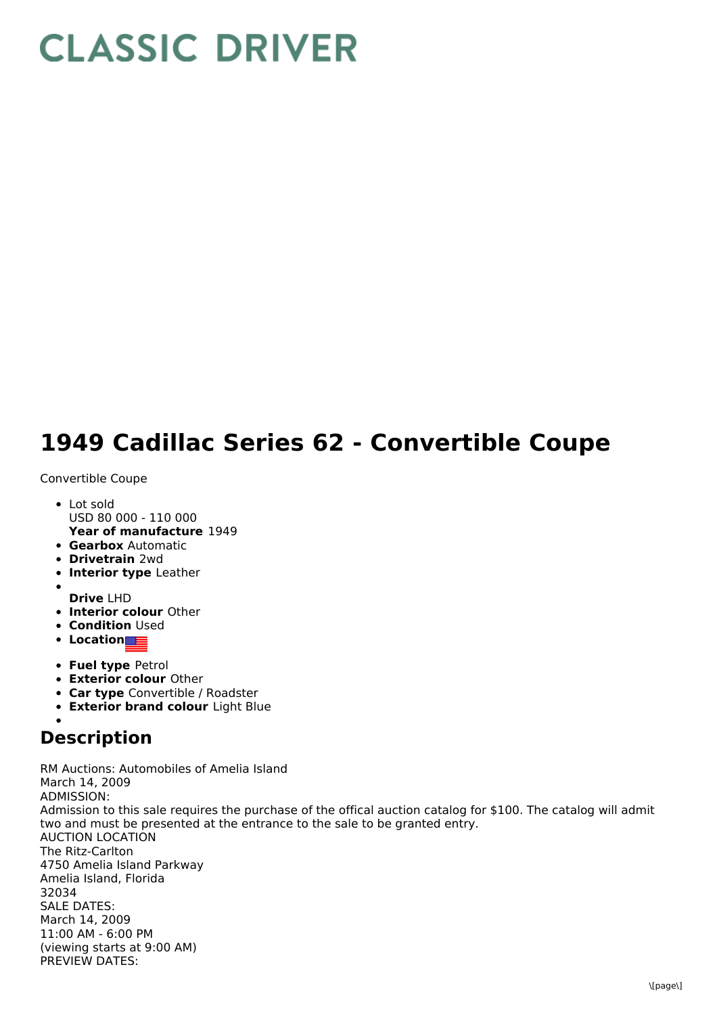## **CLASSIC DRIVER**

## **1949 Cadillac Series 62 - Convertible Coupe**

## Convertible Coupe

- **Year of manufacture** 1949 • Lot sold USD 80 000 - 110 000
- **Gearbox** Automatic
- **Drivetrain** 2wd
- **Interior type** Leather
- 
- **Drive** LHD
- **Interior colour** Other
- **Condition Used**
- **Location**
- **Fuel type** Petrol
- **Exterior colour** Other
- **Car type** Convertible / Roadster
- **Exterior brand colour** Light Blue

## **Description**

RM Auctions: Automobiles of Amelia Island March 14, 2009 ADMISSION: Admission to this sale requires the purchase of the offical auction catalog for \$100. The catalog will admit two and must be presented at the entrance to the sale to be granted entry. AUCTION LOCATION The Ritz-Carlton 4750 Amelia Island Parkway Amelia Island, Florida 32034 SALE DATES: March 14, 2009 11:00 AM - 6:00 PM (viewing starts at 9:00 AM) PREVIEW DATES: